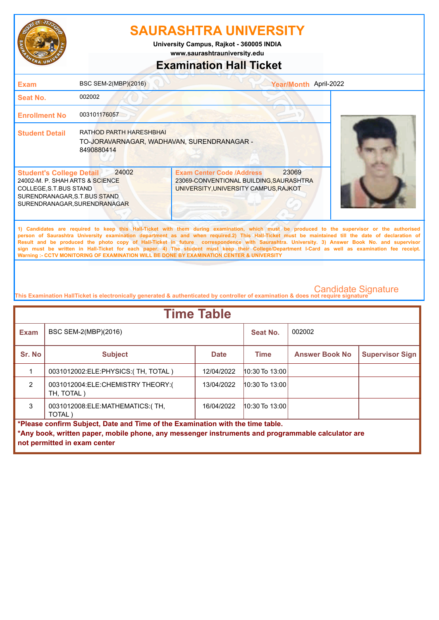

**University Campus, Rajkot - 360005 INDIA**

**www.saurashtrauniversity.edu**

### **Examination Hall Ticket**

| <b>Exam</b>                                                                                                                                                   | BSC SEM-2(MBP)(2016)                                                                       | Year/Month April-2022                                                                                                                                                                                                                                                                                                                                                                                                                                                                                                                                                                                                                                                                               |  |
|---------------------------------------------------------------------------------------------------------------------------------------------------------------|--------------------------------------------------------------------------------------------|-----------------------------------------------------------------------------------------------------------------------------------------------------------------------------------------------------------------------------------------------------------------------------------------------------------------------------------------------------------------------------------------------------------------------------------------------------------------------------------------------------------------------------------------------------------------------------------------------------------------------------------------------------------------------------------------------------|--|
| <b>Seat No.</b>                                                                                                                                               | 002002                                                                                     |                                                                                                                                                                                                                                                                                                                                                                                                                                                                                                                                                                                                                                                                                                     |  |
| <b>Enrollment No</b>                                                                                                                                          | 003101176057                                                                               |                                                                                                                                                                                                                                                                                                                                                                                                                                                                                                                                                                                                                                                                                                     |  |
| <b>Student Detail</b>                                                                                                                                         | <b>RATHOD PARTH HARESHBHAI</b><br>TO-JORAVARNAGAR, WADHAVAN, SURENDRANAGAR -<br>8490880414 |                                                                                                                                                                                                                                                                                                                                                                                                                                                                                                                                                                                                                                                                                                     |  |
| <b>Student's College Detail</b><br>24002-M. P. SHAH ARTS & SCIENCE<br>COLLEGE, S.T. BUS STAND<br>SURENDRANAGAR, S.T.BUS STAND<br>SURENDRANAGAR, SURENDRANAGAR | 24002                                                                                      | 23069<br><b>Exam Center Code /Address</b><br>23069-CONVENTIONAL BUILDING, SAURASHTRA<br>UNIVERSITY, UNIVERSITY CAMPUS, RAJKOT                                                                                                                                                                                                                                                                                                                                                                                                                                                                                                                                                                       |  |
|                                                                                                                                                               |                                                                                            | 1) Candidates are required to keep this Hall-Ticket with them during examination, which must be produced to the supervisor or the authorised<br>person of Saurashtra University examination department as and when required.2) This Hall-Ticket must be maintained till the date of declaration of<br>Result and be produced the photo copy of Hall-Ticket in future correspondence with Saurashtra. University. 3) Answer Book No. and supervisor<br>sign must be written in Hall-Ticket for each paper. 4) The student must keep their College/Department I-Card as well as examination fee receipt.<br>Warning :- CCTV MONITORING OF EXAMINATION WILL BE DONE BY EXAMINATION CENTER & UNIVERSITY |  |

| <b>Time Table</b>                                                              |                                                                                                   |             |                    |                       |                        |  |
|--------------------------------------------------------------------------------|---------------------------------------------------------------------------------------------------|-------------|--------------------|-----------------------|------------------------|--|
| <b>Exam</b>                                                                    | BSC SEM-2(MBP)(2016)                                                                              |             | Seat No.           | 002002                |                        |  |
| Sr. No                                                                         | <b>Subject</b>                                                                                    | <b>Date</b> | <b>Time</b>        | <b>Answer Book No</b> | <b>Supervisor Sign</b> |  |
|                                                                                | 0031012002:ELE:PHYSICS:(TH, TOTAL)                                                                | 12/04/2022  | $10:30$ To 13:00   |                       |                        |  |
| $\mathcal{P}$                                                                  | 0031012004:ELE:CHEMISTRY THEORY:(<br>TH, TOTAL)                                                   | 13/04/2022  | $10:30$ To $13:00$ |                       |                        |  |
| 3                                                                              | 0031012008: ELE: MATHEMATICS: (TH,<br>TOTAL)                                                      | 16/04/2022  | $10:30$ To 13:00   |                       |                        |  |
| *Please confirm Subject, Date and Time of the Examination with the time table. |                                                                                                   |             |                    |                       |                        |  |
|                                                                                | *Any book, written paper, mobile phone, any messenger instruments and programmable calculator are |             |                    |                       |                        |  |
|                                                                                | not permitted in exam center                                                                      |             |                    |                       |                        |  |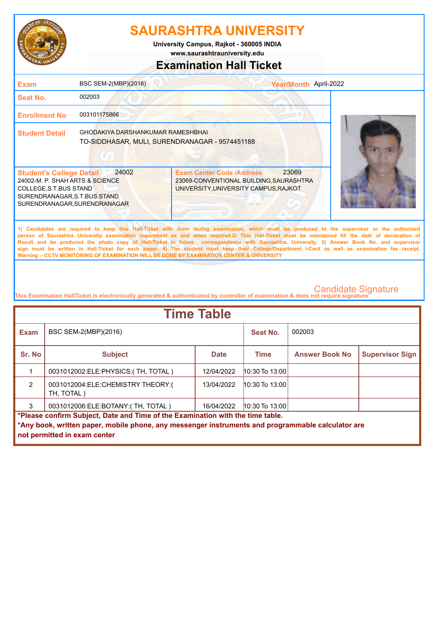

**www.saurashtrauniversity.edu University Campus, Rajkot - 360005 INDIA**

### **Examination Hall Ticket**

| <b>Exam</b>                                                                                                                                                  | BSC SEM-2(MBP)(2016)                                                                       |                                                                                                                                                                                                                                                                                                                                                                                                                                                                                                                                                                                                                                                                                                     | Year/Month April-2022 |  |
|--------------------------------------------------------------------------------------------------------------------------------------------------------------|--------------------------------------------------------------------------------------------|-----------------------------------------------------------------------------------------------------------------------------------------------------------------------------------------------------------------------------------------------------------------------------------------------------------------------------------------------------------------------------------------------------------------------------------------------------------------------------------------------------------------------------------------------------------------------------------------------------------------------------------------------------------------------------------------------------|-----------------------|--|
| Seat No.                                                                                                                                                     | 002003                                                                                     |                                                                                                                                                                                                                                                                                                                                                                                                                                                                                                                                                                                                                                                                                                     |                       |  |
| <b>Enrollment No</b>                                                                                                                                         | 003101175866                                                                               |                                                                                                                                                                                                                                                                                                                                                                                                                                                                                                                                                                                                                                                                                                     |                       |  |
| <b>Student Detail</b>                                                                                                                                        | <b>GHODAKIYA DARSHANKUMAR RAMESHBHAI</b><br>TO-SIDDHASAR, MULI, SURENDRANAGAR - 9574451188 |                                                                                                                                                                                                                                                                                                                                                                                                                                                                                                                                                                                                                                                                                                     |                       |  |
| <b>Student's College Detail</b><br>24002-M. P. SHAH ARTS & SCIENCE<br>COLLEGE, S.T.BUS STAND<br>SURENDRANAGAR, S.T.BUS STAND<br>SURENDRANAGAR, SURENDRANAGAR | 24002                                                                                      | <b>Exam Center Code /Address</b><br>23069-CONVENTIONAL BUILDING, SAURASHTRA<br>UNIVERSITY, UNIVERSITY CAMPUS, RAJKOT                                                                                                                                                                                                                                                                                                                                                                                                                                                                                                                                                                                | 23069                 |  |
|                                                                                                                                                              |                                                                                            | 1) Candidates are required to keep this Hall-Ticket with them during examination, which must be produced to the supervisor or the authorised<br>person of Saurashtra University examination department as and when required.2) This Hall-Ticket must be maintained till the date of declaration of<br>Result and be produced the photo copy of Hall-Ticket in future correspondence with Saurashtra. University. 3) Answer Book No. and supervisor<br>sign must be written in Hall-Ticket for each paper. 4) The student must keep their College/Department I-Card as well as examination fee receipt.<br>Warning :- CCTV MONITORING OF EXAMINATION WILL BE DONE BY EXAMINATION CENTER & UNIVERSITY |                       |  |

| <b>Time Table</b>                                                              |                                                                                                   |             |                    |                       |                        |  |
|--------------------------------------------------------------------------------|---------------------------------------------------------------------------------------------------|-------------|--------------------|-----------------------|------------------------|--|
| <b>Exam</b>                                                                    | BSC SEM-2(MBP)(2016)                                                                              |             | Seat No.           | 002003                |                        |  |
| Sr. No                                                                         | <b>Subject</b>                                                                                    | <b>Date</b> | <b>Time</b>        | <b>Answer Book No</b> | <b>Supervisor Sign</b> |  |
|                                                                                | 0031012002:ELE:PHYSICS:(TH, TOTAL)                                                                | 12/04/2022  | $10:30$ To $13:00$ |                       |                        |  |
| $\mathfrak{p}$                                                                 | 0031012004:ELE:CHEMISTRY THEORY:(<br>TH, TOTAL)                                                   | 13/04/2022  | $10:30$ To $13:00$ |                       |                        |  |
| 3                                                                              | 0031012006:ELE:BOTANY:(TH, TOTAL)                                                                 | 16/04/2022  | $10:30$ To 13:00   |                       |                        |  |
| *Please confirm Subject, Date and Time of the Examination with the time table. |                                                                                                   |             |                    |                       |                        |  |
|                                                                                | *Any book, written paper, mobile phone, any messenger instruments and programmable calculator are |             |                    |                       |                        |  |
|                                                                                | not permitted in exam center                                                                      |             |                    |                       |                        |  |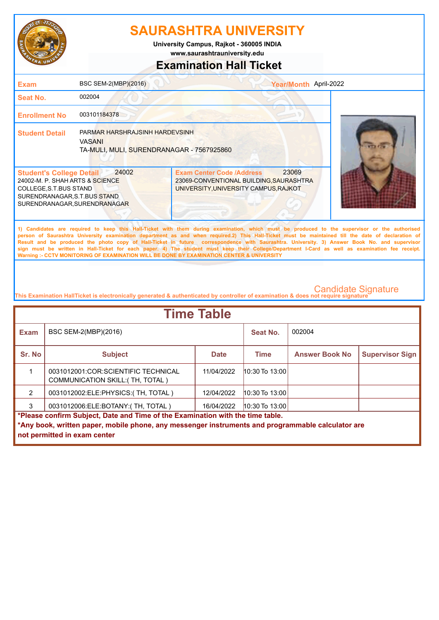

**University Campus, Rajkot - 360005 INDIA**

**www.saurashtrauniversity.edu**

## **Examination Hall Ticket**

| <b>Exam</b>                                                                                                                                                   | BSC SEM-2(MBP)(2016)                                                                         | Year/Month April-2022                                                                                                                                                                                                                                                                                                                                                                                                                                                                                                                                                                                                                                                                               |                            |
|---------------------------------------------------------------------------------------------------------------------------------------------------------------|----------------------------------------------------------------------------------------------|-----------------------------------------------------------------------------------------------------------------------------------------------------------------------------------------------------------------------------------------------------------------------------------------------------------------------------------------------------------------------------------------------------------------------------------------------------------------------------------------------------------------------------------------------------------------------------------------------------------------------------------------------------------------------------------------------------|----------------------------|
| Seat No.                                                                                                                                                      | 002004                                                                                       |                                                                                                                                                                                                                                                                                                                                                                                                                                                                                                                                                                                                                                                                                                     |                            |
| <b>Enrollment No</b>                                                                                                                                          | 003101184378                                                                                 |                                                                                                                                                                                                                                                                                                                                                                                                                                                                                                                                                                                                                                                                                                     |                            |
| <b>Student Detail</b>                                                                                                                                         | PARMAR HARSHRAJSINH HARDEVSINH<br><b>VASANI</b><br>TA-MULI, MULI, SURENDRANAGAR - 7567925860 |                                                                                                                                                                                                                                                                                                                                                                                                                                                                                                                                                                                                                                                                                                     |                            |
| <b>Student's College Detail</b><br>24002-M. P. SHAH ARTS & SCIENCE<br>COLLEGE, S.T. BUS STAND<br>SURENDRANAGAR, S.T.BUS STAND<br>SURENDRANAGAR, SURENDRANAGAR | 24002                                                                                        | 23069<br><b>Exam Center Code /Address</b><br>23069-CONVENTIONAL BUILDING, SAURASHTRA<br>UNIVERSITY, UNIVERSITY CAMPUS, RAJKOT                                                                                                                                                                                                                                                                                                                                                                                                                                                                                                                                                                       |                            |
|                                                                                                                                                               |                                                                                              | 1) Candidates are required to keep this Hall-Ticket with them during examination, which must be produced to the supervisor or the authorised<br>person of Saurashtra University examination department as and when required.2) This Hall-Ticket must be maintained till the date of declaration of<br>Result and be produced the photo copy of Hall-Ticket in future correspondence with Saurashtra. University. 3) Answer Book No. and supervisor<br>sign must be written in Hall-Ticket for each paper. 4) The student must keep their College/Department I-Card as well as examination fee receipt.<br>Warning :- CCTV MONITORING OF EXAMINATION WILL BE DONE BY EXAMINATION CENTER & UNIVERSITY |                            |
|                                                                                                                                                               |                                                                                              | This Examination HallTicket is electronically generated & authenticated by controller of examination & does not require signature                                                                                                                                                                                                                                                                                                                                                                                                                                                                                                                                                                   | <b>Candidate Signature</b> |

| <b>Time Table</b> |                                                                                                                                                                                                                     |             |                  |                       |                        |  |  |
|-------------------|---------------------------------------------------------------------------------------------------------------------------------------------------------------------------------------------------------------------|-------------|------------------|-----------------------|------------------------|--|--|
| <b>Exam</b>       | BSC SEM-2(MBP)(2016)                                                                                                                                                                                                |             | Seat No.         | 002004                |                        |  |  |
| Sr. No            | <b>Subject</b>                                                                                                                                                                                                      | <b>Date</b> | <b>Time</b>      | <b>Answer Book No</b> | <b>Supervisor Sign</b> |  |  |
|                   | 0031012001:COR:SCIENTIFIC TECHNICAL<br>COMMUNICATION SKILL: (TH, TOTAL)                                                                                                                                             | 11/04/2022  | $10:30$ To 13:00 |                       |                        |  |  |
| $\mathcal{P}$     | 0031012002:ELE:PHYSICS:(TH, TOTAL)                                                                                                                                                                                  | 12/04/2022  | 10:30 To 13:00   |                       |                        |  |  |
| 3                 | 0031012006:ELE:BOTANY:(TH, TOTAL)                                                                                                                                                                                   | 16/04/2022  | 10:30 To 13:00   |                       |                        |  |  |
|                   | *Please confirm Subject, Date and Time of the Examination with the time table.<br>*Any book, written paper, mobile phone, any messenger instruments and programmable calculator are<br>not permitted in exam center |             |                  |                       |                        |  |  |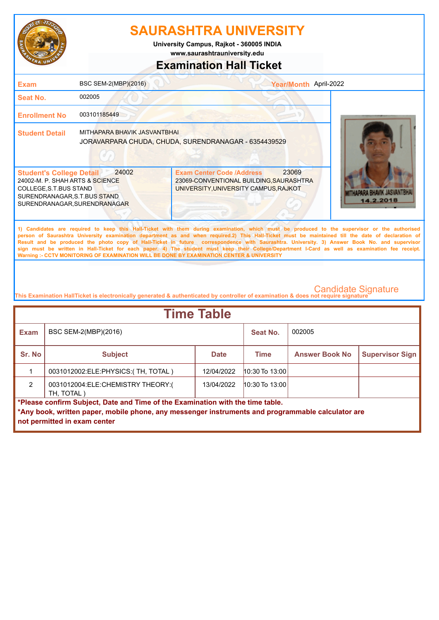

**www.saurashtrauniversity.edu University Campus, Rajkot - 360005 INDIA**

### **Examination Hall Ticket**

| <b>Exam</b>                                                                                                                                                  | BSC SEM-2(MBP)(2016)         | Year/Month April-2022                                                                                                                                                                                                                                                                                                                                                                                                                                                                                                                                                                                                                                                                               |                                        |
|--------------------------------------------------------------------------------------------------------------------------------------------------------------|------------------------------|-----------------------------------------------------------------------------------------------------------------------------------------------------------------------------------------------------------------------------------------------------------------------------------------------------------------------------------------------------------------------------------------------------------------------------------------------------------------------------------------------------------------------------------------------------------------------------------------------------------------------------------------------------------------------------------------------------|----------------------------------------|
| Seat No.                                                                                                                                                     | 002005                       |                                                                                                                                                                                                                                                                                                                                                                                                                                                                                                                                                                                                                                                                                                     |                                        |
| <b>Enrollment No</b>                                                                                                                                         | 003101185449                 |                                                                                                                                                                                                                                                                                                                                                                                                                                                                                                                                                                                                                                                                                                     |                                        |
| <b>Student Detail</b>                                                                                                                                        | MITHAPARA BHAVIK JASVANTBHAI | JORAVARPARA CHUDA, CHUDA, SURENDRANAGAR - 6354439529                                                                                                                                                                                                                                                                                                                                                                                                                                                                                                                                                                                                                                                |                                        |
| <b>Student's College Detail</b><br>24002-M. P. SHAH ARTS & SCIENCE<br>COLLEGE, S.T.BUS STAND<br>SURENDRANAGAR, S.T.BUS STAND<br>SURENDRANAGAR, SURENDRANAGAR | 24002                        | 23069<br><b>Exam Center Code /Address</b><br>23069-CONVENTIONAL BUILDING, SAURASHTRA<br>UNIVERSITY, UNIVERSITY CAMPUS, RAJKOT                                                                                                                                                                                                                                                                                                                                                                                                                                                                                                                                                                       | <b>RA RHAVIK JASVANTE</b><br>14.2.2018 |
|                                                                                                                                                              |                              | 1) Candidates are required to keep this Hall-Ticket with them during examination, which must be produced to the supervisor or the authorised<br>person of Saurashtra University examination department as and when required.2) This Hall-Ticket must be maintained till the date of declaration of<br>Result and be produced the photo copy of Hall-Ticket in future correspondence with Saurashtra. University. 3) Answer Book No. and supervisor<br>sign must be written in Hall-Ticket for each paper. 4) The student must keep their College/Department I-Card as well as examination fee receipt.<br>Warning :- CCTV MONITORING OF EXAMINATION WILL BE DONE BY EXAMINATION CENTER & UNIVERSITY |                                        |

| <b>Time Table</b>                                                                                                                                                                                                   |                                                 |             |                    |                       |                        |  |
|---------------------------------------------------------------------------------------------------------------------------------------------------------------------------------------------------------------------|-------------------------------------------------|-------------|--------------------|-----------------------|------------------------|--|
| <b>Exam</b>                                                                                                                                                                                                         | BSC SEM-2(MBP)(2016)                            |             | Seat No.           | 002005                |                        |  |
| Sr. No                                                                                                                                                                                                              | <b>Subject</b>                                  | <b>Date</b> | <b>Time</b>        | <b>Answer Book No</b> | <b>Supervisor Sign</b> |  |
|                                                                                                                                                                                                                     | 0031012002:ELE:PHYSICS:(TH, TOTAL)              | 12/04/2022  | $10:30$ To $13:00$ |                       |                        |  |
| $\mathcal{P}$                                                                                                                                                                                                       | 0031012004:ELE:CHEMISTRY THEORY:(<br>TH. TOTAL) | 13/04/2022  | $10:30$ To $13:00$ |                       |                        |  |
| *Please confirm Subject, Date and Time of the Examination with the time table.<br>*Any book, written paper, mobile phone, any messenger instruments and programmable calculator are<br>not permitted in exam center |                                                 |             |                    |                       |                        |  |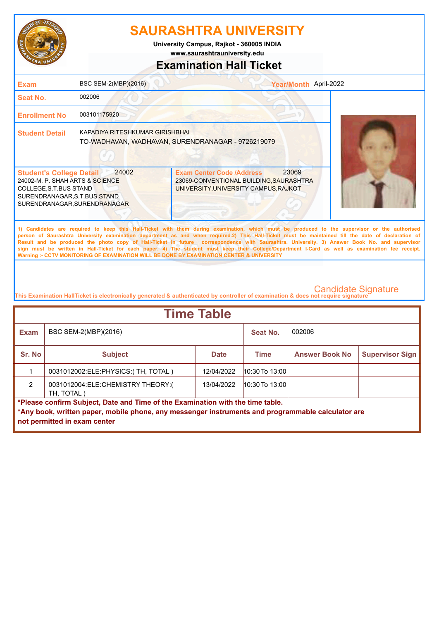

**www.saurashtrauniversity.edu University Campus, Rajkot - 360005 INDIA**

### **Examination Hall Ticket**

| <b>Exam</b>                                                                                                                                                  | BSC SEM-2(MBP)(2016)                   | Year/Month April-2022                                                                                                                                                                                                                                                                                                                                                                                                                                                                                                                                                                                                                                                                               |
|--------------------------------------------------------------------------------------------------------------------------------------------------------------|----------------------------------------|-----------------------------------------------------------------------------------------------------------------------------------------------------------------------------------------------------------------------------------------------------------------------------------------------------------------------------------------------------------------------------------------------------------------------------------------------------------------------------------------------------------------------------------------------------------------------------------------------------------------------------------------------------------------------------------------------------|
| <b>Seat No.</b>                                                                                                                                              | 002006                                 |                                                                                                                                                                                                                                                                                                                                                                                                                                                                                                                                                                                                                                                                                                     |
| <b>Enrollment No</b>                                                                                                                                         | 003101175920                           |                                                                                                                                                                                                                                                                                                                                                                                                                                                                                                                                                                                                                                                                                                     |
| <b>Student Detail</b>                                                                                                                                        | <b>KAPADIYA RITESHKUMAR GIRISHBHAI</b> | TO-WADHAVAN, WADHAVAN, SURENDRANAGAR - 9726219079                                                                                                                                                                                                                                                                                                                                                                                                                                                                                                                                                                                                                                                   |
| <b>Student's College Detail</b><br>24002-M. P. SHAH ARTS & SCIENCE<br>COLLEGE, S.T.BUS STAND<br>SURENDRANAGAR, S.T.BUS STAND<br>SURENDRANAGAR, SURENDRANAGAR | 24002                                  | 23069<br><b>Exam Center Code /Address</b><br>23069-CONVENTIONAL BUILDING, SAURASHTRA<br>UNIVERSITY, UNIVERSITY CAMPUS, RAJKOT                                                                                                                                                                                                                                                                                                                                                                                                                                                                                                                                                                       |
|                                                                                                                                                              |                                        | 1) Candidates are required to keep this Hall-Ticket with them during examination, which must be produced to the supervisor or the authorised<br>person of Saurashtra University examination department as and when required.2) This Hall-Ticket must be maintained till the date of declaration of<br>Result and be produced the photo copy of Hall-Ticket in future correspondence with Saurashtra. University. 3) Answer Book No. and supervisor<br>sign must be written in Hall-Ticket for each paper. 4) The student must keep their College/Department I-Card as well as examination fee receipt.<br>Warning :- CCTV MONITORING OF EXAMINATION WILL BE DONE BY EXAMINATION CENTER & UNIVERSITY |

| <b>Time Table</b>                                                                                                                                                                   |                                                 |             |                  |                       |                        |  |
|-------------------------------------------------------------------------------------------------------------------------------------------------------------------------------------|-------------------------------------------------|-------------|------------------|-----------------------|------------------------|--|
| <b>Exam</b>                                                                                                                                                                         | BSC SEM-2(MBP)(2016)                            |             | Seat No.         | 002006                |                        |  |
| Sr. No                                                                                                                                                                              | <b>Subject</b>                                  | <b>Date</b> | <b>Time</b>      | <b>Answer Book No</b> | <b>Supervisor Sign</b> |  |
|                                                                                                                                                                                     | 0031012002:ELE:PHYSICS:(TH, TOTAL)              | 12/04/2022  | $10:30$ To 13:00 |                       |                        |  |
| $\mathcal{P}$                                                                                                                                                                       | 0031012004:ELE:CHEMISTRY THEORY:(<br>TH. TOTAL) | 13/04/2022  | $10:30$ To 13:00 |                       |                        |  |
| *Please confirm Subject, Date and Time of the Examination with the time table.<br>*Any book, written paper, mobile phone, any messenger instruments and programmable calculator are |                                                 |             |                  |                       |                        |  |
|                                                                                                                                                                                     | not permitted in exam center                    |             |                  |                       |                        |  |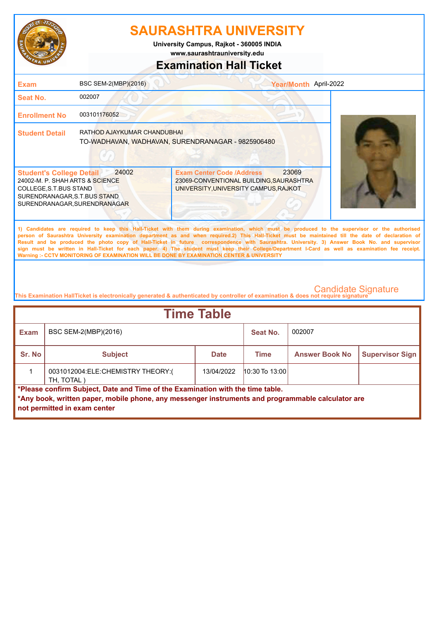

**www.saurashtrauniversity.edu University Campus, Rajkot - 360005 INDIA**

# **Examination Hall Ticket**

| 002007<br><b>Seat No.</b><br>003101176052<br><b>Enrollment No</b><br>RATHOD AJAYKUMAR CHANDUBHAI<br><b>Student Detail</b><br>TO-WADHAVAN, WADHAVAN, SURENDRANAGAR - 9825906480<br>23069<br>24002<br><b>Exam Center Code /Address</b><br><b>Student's College Detail</b><br>24002-M. P. SHAH ARTS & SCIENCE<br>23069-CONVENTIONAL BUILDING, SAURASHTRA<br>UNIVERSITY, UNIVERSITY CAMPUS, RAJKOT<br>COLLEGE, S.T.BUS STAND<br>SURENDRANAGAR, S.T.BUS STAND<br>SURENDRANAGAR, SURENDRANAGAR                                                                                                                                                                                                            | <b>Exam</b> | BSC SEM-2(MBP)(2016) | Year/Month April-2022 |  |
|-----------------------------------------------------------------------------------------------------------------------------------------------------------------------------------------------------------------------------------------------------------------------------------------------------------------------------------------------------------------------------------------------------------------------------------------------------------------------------------------------------------------------------------------------------------------------------------------------------------------------------------------------------------------------------------------------------|-------------|----------------------|-----------------------|--|
|                                                                                                                                                                                                                                                                                                                                                                                                                                                                                                                                                                                                                                                                                                     |             |                      |                       |  |
|                                                                                                                                                                                                                                                                                                                                                                                                                                                                                                                                                                                                                                                                                                     |             |                      |                       |  |
|                                                                                                                                                                                                                                                                                                                                                                                                                                                                                                                                                                                                                                                                                                     |             |                      |                       |  |
|                                                                                                                                                                                                                                                                                                                                                                                                                                                                                                                                                                                                                                                                                                     |             |                      |                       |  |
| 1) Candidates are required to keep this Hall-Ticket with them during examination, which must be produced to the supervisor or the authorised<br>person of Saurashtra University examination department as and when required.2) This Hall-Ticket must be maintained till the date of declaration of<br>Result and be produced the photo copy of Hall-Ticket in future correspondence with Saurashtra. University. 3) Answer Book No. and supervisor<br>sign must be written in Hall-Ticket for each paper. 4) The student must keep their College/Department I-Card as well as examination fee receipt.<br>Warning :- CCTV MONITORING OF EXAMINATION WILL BE DONE BY EXAMINATION CENTER & UNIVERSITY |             |                      |                       |  |

| <b>Time Table</b>                                                                                                                                                                                                   |                                                 |             |                  |                       |                        |  |
|---------------------------------------------------------------------------------------------------------------------------------------------------------------------------------------------------------------------|-------------------------------------------------|-------------|------------------|-----------------------|------------------------|--|
| Exam                                                                                                                                                                                                                | BSC SEM-2(MBP)(2016)                            |             | Seat No.         | 002007                |                        |  |
| Sr. No                                                                                                                                                                                                              | <b>Subject</b>                                  | <b>Date</b> | Time             | <b>Answer Book No</b> | <b>Supervisor Sign</b> |  |
|                                                                                                                                                                                                                     | 0031012004:ELE:CHEMISTRY THEORY:(<br>TH, TOTAL) | 13/04/2022  | $10:30$ To 13:00 |                       |                        |  |
| *Please confirm Subject, Date and Time of the Examination with the time table.<br>*Any book, written paper, mobile phone, any messenger instruments and programmable calculator are<br>not permitted in exam center |                                                 |             |                  |                       |                        |  |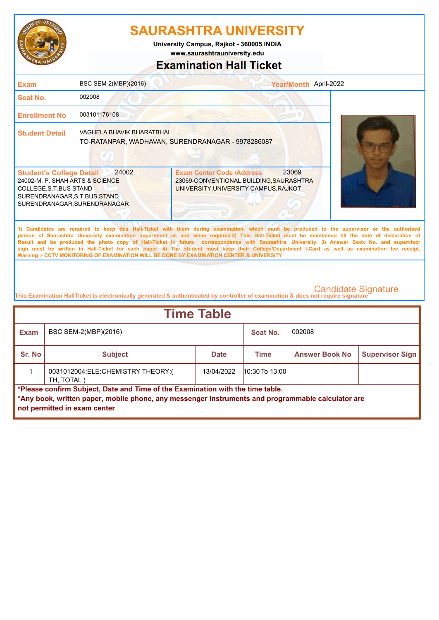

**University Campus, Rajkot - 360005 INDIA**

**www.saurashtrauniversity.edu**

### **Examination Hall Ticket**

| <b>Exam</b>                                                                                                                                                                                                                                                                                                                                                                                                                                                                                                                                                                                                                                                                                         | BSC SEM-2(MBP)(2016)                                                           |                                                                                                                               | Year/Month April-2022 |  |
|-----------------------------------------------------------------------------------------------------------------------------------------------------------------------------------------------------------------------------------------------------------------------------------------------------------------------------------------------------------------------------------------------------------------------------------------------------------------------------------------------------------------------------------------------------------------------------------------------------------------------------------------------------------------------------------------------------|--------------------------------------------------------------------------------|-------------------------------------------------------------------------------------------------------------------------------|-----------------------|--|
| Seat No.                                                                                                                                                                                                                                                                                                                                                                                                                                                                                                                                                                                                                                                                                            | 002008                                                                         |                                                                                                                               |                       |  |
| <b>Enrollment No</b>                                                                                                                                                                                                                                                                                                                                                                                                                                                                                                                                                                                                                                                                                | 003101176108                                                                   |                                                                                                                               |                       |  |
| <b>Student Detail</b>                                                                                                                                                                                                                                                                                                                                                                                                                                                                                                                                                                                                                                                                               | VAGHELA BHAVIK BHARATBHAI<br>TO-RATANPAR, WADHAVAN, SURENDRANAGAR - 9978286087 |                                                                                                                               |                       |  |
| 24002<br><b>Student's College Detail</b><br>24002-M. P. SHAH ARTS & SCIENCE<br>COLLEGE, S.T. BUS STAND<br>SURENDRANAGAR, S.T.BUS STAND<br>SURENDRANAGAR, SURENDRANAGAR                                                                                                                                                                                                                                                                                                                                                                                                                                                                                                                              |                                                                                | 23069<br><b>Exam Center Code /Address</b><br>23069-CONVENTIONAL BUILDING, SAURASHTRA<br>UNIVERSITY, UNIVERSITY CAMPUS, RAJKOT |                       |  |
| 1) Candidates are required to keep this Hall-Ticket with them during examination, which must be produced to the supervisor or the authorised<br>person of Saurashtra University examination department as and when required.2) This Hall-Ticket must be maintained till the date of declaration of<br>Result and be produced the photo copy of Hall-Ticket in future correspondence with Saurashtra. University. 3) Answer Book No. and supervisor<br>sign must be written in Hall-Ticket for each paper. 4) The student must keep their College/Department I-Card as well as examination fee receipt.<br>Warning :- CCTV MONITORING OF EXAMINATION WILL BE DONE BY EXAMINATION CENTER & UNIVERSITY |                                                                                |                                                                                                                               |                       |  |

| <b>Time Table</b>                                                                                                                                                                                                   |                                                 |             |                  |                       |                        |  |
|---------------------------------------------------------------------------------------------------------------------------------------------------------------------------------------------------------------------|-------------------------------------------------|-------------|------------------|-----------------------|------------------------|--|
| Exam                                                                                                                                                                                                                | BSC SEM-2(MBP)(2016)                            |             | Seat No.         | 002008                |                        |  |
| Sr. No                                                                                                                                                                                                              | <b>Subject</b>                                  | <b>Date</b> | <b>Time</b>      | <b>Answer Book No</b> | <b>Supervisor Sign</b> |  |
|                                                                                                                                                                                                                     | 0031012004:ELE:CHEMISTRY THEORY:(<br>TH, TOTAL) | 13/04/2022  | $10:30$ To 13:00 |                       |                        |  |
| *Please confirm Subject, Date and Time of the Examination with the time table.<br>*Any book, written paper, mobile phone, any messenger instruments and programmable calculator are<br>not permitted in exam center |                                                 |             |                  |                       |                        |  |